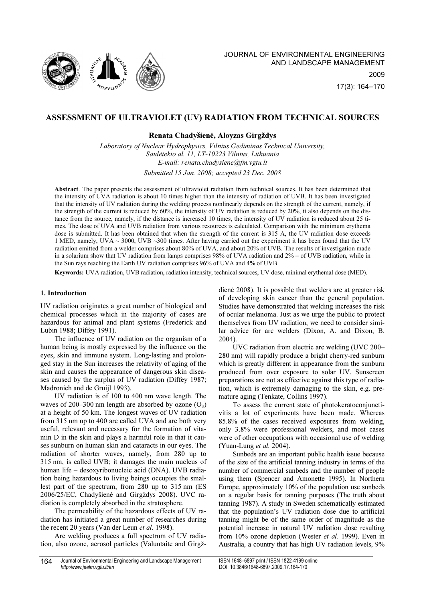

# ASSESSMENT OF ULTRAVIOLET (UV) RADIATION FROM TECHNICAL SOURCES

# Renata Chadyšienė, Aloyzas Girgždys

Laboratory of Nuclear Hydrophysics, Vilnius Gediminas Technical University, Saulėtekio al. 11, LT-10223 Vilnius, Lithuania E-mail: renata.chadysiene@fm.vgtu.lt Submitted 15 Jan. 2008; accepted 23 Dec. 2008

Abstract. The paper presents the assessment of ultraviolet radiation from technical sources. It has been determined that the intensity of UVA radiation is about 10 times higher than the intensity of radiation of UVB. It has been investigated that the intensity of UV radiation during the welding process nonlinearly depends on the strength of the current, namely, if the strength of the current is reduced by 60%, the intensity of UV radiation is reduced by 20%, it also depends on the distance from the source, namely, if the distance is increased 10 times, the intensity of UV radiation is reduced about 25 times. The dose of UVA and UVB radiation from various resources is calculated. Comparison with the minimum erythema dose is submitted. It has been obtained that when the strength of the current is 315 A, the UV radiation dose exceeds 1 MED, namely, UVA ~ 3000, UVB ~300 times. After having carried out the experiment it has been found that the UV radiation emitted from a welder comprises about 80% of UVA, and about 20% of UVB. The results of investigation made in a solarium show that UV radiation from lamps comprises 98% of UVA radiation and 2% – of UVB radiation, while in the Sun rays reaching the Earth UV radiation comprises 96% of UVA and 4% of UVB.

Keywords: UVA radiation, UVB radiation, radiation intensity, technical sources, UV dose, minimal erythemal dose (MED).

## 1. Introduction

UV radiation originates a great number of biological and chemical processes which in the majority of cases are hazardous for animal and plant systems (Frederick and Lubin 1988; Diffey 1991).

The influence of UV radiation on the organism of a human being is mostly expressed by the influence on the eyes, skin and immune system. Long-lasting and prolonged stay in the Sun increases the relativity of aging of the skin and causes the appearance of dangerous skin diseases caused by the surplus of UV radiation (Diffey 1987; Madronich and de Gruijl 1993).

UV radiation is of 100 to 400 nm wave length. The waves of 200–300 nm length are absorbed by ozone  $(O_3)$ at a height of 50 km. The longest waves of UV radiation from 315 nm up to 400 are called UVA and are both very useful, relevant and necessary for the formation of vitamin D in the skin and plays a harmful role in that it causes sunburn on human skin and cataracts in our eyes. The radiation of shorter waves, namely, from 280 up to 315 nm, is called UVB; it damages the main nucleus of human life – desoxyribonucleic acid (DNA). UVB radiation being hazardous to living beings occupies the smallest part of the spectrum, from 280 up to 315 nm (ES 2006/25/EC, Chadyšienė and Girgždys 2008). UVC radiation is completely absorbed in the stratosphere.

The permeability of the hazardous effects of UV radiation has initiated a great number of researches during the recent 20 years (Van der Leun et al. 1998).

Arc welding produces a full spectrum of UV radiation, also ozone, aerosol particles (Valuntaitė and Girgždienė 2008). It is possible that welders are at greater risk of developing skin cancer than the general population. Studies have demonstrated that welding increases the risk of ocular melanoma. Just as we urge the public to protect themselves from UV radiation, we need to consider similar advice for arc welders (Dixon, A. and Dixon, B. 2004).

UVC radiation from electric arc welding (UVC 200– 280 nm) will rapidly produce a bright cherry-red sunburn which is greatly different in appearance from the sunburn produced from over exposure to solar UV. Sunscreen preparations are not as effective against this type of radiation, which is extremely damaging to the skin, e.g. premature aging (Tenkate, Collins 1997).

To assess the current state of photokeratoconjunctivitis a lot of experiments have been made. Whereas 85.8% of the cases received exposures from welding, only 3.8% were professional welders, and most cases were of other occupations with occasional use of welding (Yuan-Lung et al. 2004).

Sunbeds are an important public health issue because of the size of the artificial tanning industry in terms of the number of commercial sunbeds and the number of people using them (Spencer and Amonette 1995). In Northern Europe, approximately 10% of the population use sunbeds on a regular basis for tanning purposes (The truth about tanning 1987). A study in Sweden schematically estimated that the population's UV radiation dose due to artificial tanning might be of the same order of magnitude as the potential increase in natural UV radiation dose resulting from 10% ozone depletion (Wester et al. 1999). Even in Australia, a country that has high UV radiation levels, 9%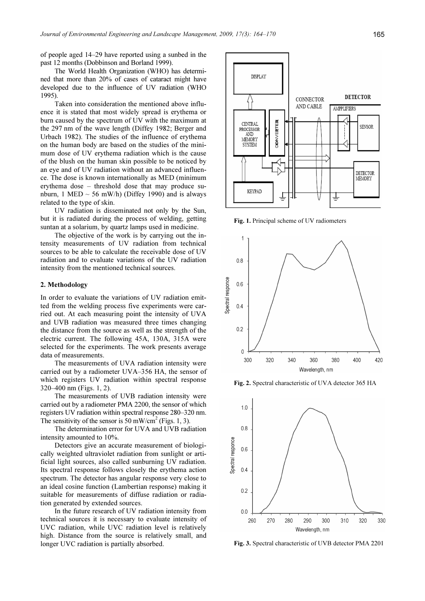of people aged 14–29 have reported using a sunbed in the past 12 months (Dobbinson and Borland 1999).

The World Health Organization (WHO) has determined that more than 20% of cases of cataract might have developed due to the influence of UV radiation (WHO 1995).

Taken into consideration the mentioned above influence it is stated that most widely spread is erythema or burn caused by the spectrum of UV with the maximum at the 297 nm of the wave length (Diffey 1982; Berger and Urbach 1982). The studies of the influence of erythema on the human body are based on the studies of the minimum dose of UV erythema radiation which is the cause of the blush on the human skin possible to be noticed by an eye and of UV radiation without an advanced influence. The dose is known internationally as MED (minimum erythema dose – threshold dose that may produce sunburn, 1 MED  $\sim$  56 mW/h) (Diffey 1990) and is always related to the type of skin.

UV radiation is disseminated not only by the Sun, but it is radiated during the process of welding, getting suntan at a solarium, by quartz lamps used in medicine.

The objective of the work is by carrying out the intensity measurements of UV radiation from technical sources to be able to calculate the receivable dose of UV radiation and to evaluate variations of the UV radiation intensity from the mentioned technical sources.

## 2. Methodology

In order to evaluate the variations of UV radiation emitted from the welding process five experiments were carried out. At each measuring point the intensity of UVA and UVB radiation was measured three times changing the distance from the source as well as the strength of the electric current. The following 45A, 130A, 315A were selected for the experiments. The work presents average data of measurements.

The measurements of UVA radiation intensity were carried out by a radiometer UVA–356 HA, the sensor of which registers UV radiation within spectral response 320–400 nm (Figs. 1, 2).

The measurements of UVB radiation intensity were carried out by a radiometer PMA 2200, the sensor of which registers UV radiation within spectral response 280–320 nm. The sensitivity of the sensor is  $50 \text{ mW/cm}^2$  (Figs. 1, 3).

The determination error for UVA and UVB radiation intensity amounted to 10%.

Detectors give an accurate measurement of biologically weighted ultraviolet radiation from sunlight or artificial light sources, also called sunburning UV radiation. Its spectral response follows closely the erythema action spectrum. The detector has angular response very close to an ideal cosine function (Lambertian response) making it suitable for measurements of diffuse radiation or radiation generated by extended sources.

In the future research of UV radiation intensity from technical sources it is necessary to evaluate intensity of UVC radiation, while UVC radiation level is relatively high. Distance from the source is relatively small, and longer UVC radiation is partially absorbed.



Fig. 1. Principal scheme of UV radiometers



Fig. 2. Spectral characteristic of UVA detector 365 HA



Fig. 3. Spectral characteristic of UVB detector PMA 2201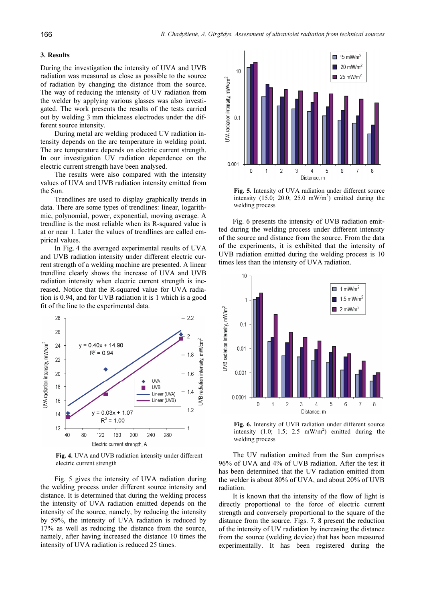#### 3. Results

During the investigation the intensity of UVA and UVB radiation was measured as close as possible to the source of radiation by changing the distance from the source. The way of reducing the intensity of UV radiation from the welder by applying various glasses was also investigated. The work presents the results of the tests carried out by welding 3 mm thickness electrodes under the different source intensity.

During metal arc welding produced UV radiation intensity depends on the arc temperature in welding point. The arc temperature depends on electric current strength. In our investigation UV radiation dependence on the electric current strength have been analysed.

The results were also compared with the intensity values of UVA and UVB radiation intensity emitted from the Sun.

Trendlines are used to display graphically trends in data. There are some types of trendlines: linear, logarithmic, polynomial, power, exponential, moving average. A trendline is the most reliable when its R-squared value is at or near 1. Later the values of trendlines are called empirical values.

In Fig. 4 the averaged experimental results of UVA and UVB radiation intensity under different electric current strength of a welding machine are presented. A linear trendline clearly shows the increase of UVA and UVB radiation intensity when electric current strength is increased. Notice that the R-squared value for UVA radiation is 0.94, and for UVB radiation it is 1 which is a good fit of the line to the experimental data.



Fig. 4. UVA and UVB radiation intensity under different electric current strength

Fig. 5 gives the intensity of UVA radiation during the welding process under different source intensity and distance. It is determined that during the welding process the intensity of UVA radiation emitted depends on the intensity of the source, namely, by reducing the intensity by 59%, the intensity of UVA radiation is reduced by 17% as well as reducing the distance from the source, namely, after having increased the distance 10 times the intensity of UVA radiation is reduced 25 times.



Fig. 5. Intensity of UVA radiation under different source intensity  $(15.0; 20.0; 25.0 \, \text{mW/m}^2)$  emitted during the welding process

Fig. 6 presents the intensity of UVB radiation emitted during the welding process under different intensity of the source and distance from the source. From the data of the experiments, it is exhibited that the intensity of UVB radiation emitted during the welding process is 10 times less than the intensity of UVA radiation.



Fig. 6. Intensity of UVB radiation under different source intensity  $(1.0; 1.5; 2.5 \text{ mW/m}^2)$  emitted during the welding process

The UV radiation emitted from the Sun comprises 96% of UVA and 4% of UVB radiation. After the test it has been determined that the UV radiation emitted from the welder is about 80% of UVA, and about 20% of UVB radiation.

It is known that the intensity of the flow of light is directly proportional to the force of electric current strength and conversely proportional to the square of the distance from the source. Figs. 7, 8 present the reduction of the intensity of UV radiation by increasing the distance from the source (welding device) that has been measured experimentally. It has been registered during the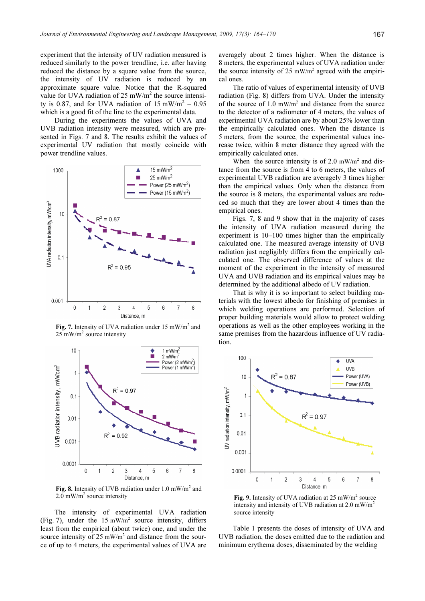experiment that the intensity of UV radiation measured is reduced similarly to the power trendline, i.e. after having reduced the distance by a square value from the source, the intensity of UV radiation is reduced by an approximate square value. Notice that the R-squared value for UVA radiation of 25 mW/m<sup>2</sup> the source intensity is 0.87, and for UVA radiation of  $15 \text{ mW/m}^2 - 0.95$ which is a good fit of the line to the experimental data.

During the experiments the values of UVA and UVB radiation intensity were measured, which are presented in Figs. 7 and 8. The results exhibit the values of experimental UV radiation that mostly coincide with power trendline values.



Fig. 7. Intensity of UVA radiation under 15 mW/m<sup>2</sup> and  $25 \text{ mW/m}^2$  source intensity



Fig. 8. Intensity of UVB radiation under  $1.0 \text{ mW/m}^2$  and  $2.0 \text{ mW/m}^2$  source intensity

The intensity of experimental UVA radiation (Fig. 7), under the  $15 \text{ mW/m}^2$  source intensity, differs least from the empirical (about twice) one, and under the source intensity of  $25 \text{ mW/m}^2$  and distance from the source of up to 4 meters, the experimental values of UVA are

averagely about 2 times higher. When the distance is 8 meters, the experimental values of UVA radiation under the source intensity of 25  $mW/m^2$  agreed with the empirical ones.

The ratio of values of experimental intensity of UVB radiation (Fig. 8) differs from UVA. Under the intensity of the source of 1.0 mW/m<sup>2</sup> and distance from the source to the detector of a radiometer of 4 meters, the values of experimental UVA radiation are by about 25% lower than the empirically calculated ones. When the distance is 5 meters, from the source, the experimental values increase twice, within 8 meter distance they agreed with the empirically calculated ones.

When the source intensity is of  $2.0 \text{ mW/m}^2$  and distance from the source is from 4 to 6 meters, the values of experimental UVB radiation are averagely 3 times higher than the empirical values. Only when the distance from the source is 8 meters, the experimental values are reduced so much that they are lower about 4 times than the empirical ones.

Figs. 7, 8 and 9 show that in the majority of cases the intensity of UVA radiation measured during the experiment is 10–100 times higher than the empirically calculated one. The measured average intensity of UVB radiation just negligibly differs from the empirically calculated one. The observed difference of values at the moment of the experiment in the intensity of measured UVA and UVB radiation and its empirical values may be determined by the additional albedo of UV radiation.

That is why it is so important to select building materials with the lowest albedo for finishing of premises in which welding operations are performed. Selection of proper building materials would allow to protect welding operations as well as the other employees working in the same premises from the hazardous influence of UV radiation.



Fig. 9. Intensity of UVA radiation at  $25 \text{ mW/m}^2$  source intensity and intensity of UVB radiation at  $2.0 \text{ mW/m}^2$ source intensity

Table 1 presents the doses of intensity of UVA and UVB radiation, the doses emitted due to the radiation and minimum erythema doses, disseminated by the welding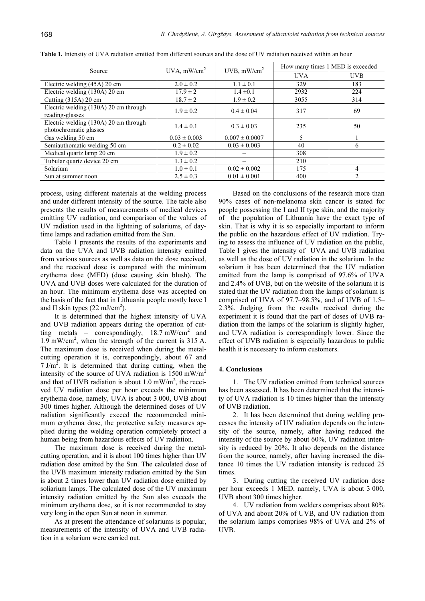| Source                                                          | $UVA$ , mW/cm <sup>2</sup> | UVB, $mW/cm2$      | How many times 1 MED is exceeded |            |
|-----------------------------------------------------------------|----------------------------|--------------------|----------------------------------|------------|
|                                                                 |                            |                    | <b>UVA</b>                       | <b>UVB</b> |
| Electric welding (45A) 20 cm                                    | $2.0 \pm 0.2$              | $1.1 \pm 0.1$      | 329                              | 183        |
| Electric welding (130A) 20 cm                                   | $17.9 \pm 2$               | $1.4 \pm 0.1$      | 2932                             | 224        |
| Cutting $(315A)$ 20 cm                                          | $18.7 \pm 2$               | $1.9 \pm 0.2$      | 3055                             | 314        |
| Electric welding (130A) 20 cm through<br>reading-glasses        | $1.9 \pm 0.2$              | $0.4 \pm 0.04$     | 317                              | 69         |
| Electric welding (130A) 20 cm through<br>photochromatic glasses | $1.4 \pm 0.1$              | $0.3 \pm 0.03$     | 235                              | 50         |
| Gas welding 50 cm                                               | $0.03 \pm 0.003$           | $0.007 \pm 0.0007$ | 5                                |            |
| Semiauthomatic welding 50 cm                                    | $0.2 \pm 0.02$             | $0.03 \pm 0.003$   | 40                               | 6          |
| Medical quartz lamp 20 cm                                       | $1.9 \pm 0.2$              |                    | 308                              |            |
| Tubular quartz device 20 cm                                     | $1.3 \pm 0.2$              |                    | 210                              |            |
| Solarium                                                        | $1.0 \pm 0.1$              | $0.02 \pm 0.002$   | 175                              | 4          |
| Sun at summer noon                                              | $2.5 \pm 0.3$              | $0.01 \pm 0.001$   | 400                              |            |

Table 1. Intensity of UVA radiation emitted from different sources and the dose of UV radiation received within an hour

process, using different materials at the welding process and under different intensity of the source. The table also presents the results of measurements of medical devices emitting UV radiation, and comparison of the values of UV radiation used in the lightning of solariums, of daytime lamps and radiation emitted from the Sun.

Table 1 presents the results of the experiments and data on the UVA and UVB radiation intensity emitted from various sources as well as data on the dose received, and the received dose is compared with the minimum erythema dose (MED) (dose causing skin blush). The UVA and UVB doses were calculated for the duration of an hour. The minimum erythema dose was accepted on the basis of the fact that in Lithuania people mostly have I and II skin types  $(22 \text{ mJ/cm}^2)$ .

It is determined that the highest intensity of UVA and UVB radiation appears during the operation of cutting metals – correspondingly,  $18.7 \text{ mW/cm}^2$  and 1.9 mW/cm<sup>2</sup> , when the strength of the current is 315 A. The maximum dose is received when during the metalcutting operation it is, correspondingly, about 67 and  $7 \text{ J/m}^2$ . It is determined that during cutting, when the intensity of the source of UVA radiation is  $1500 \text{ mW/m}^2$ and that of UVB radiation is about  $1.0 \text{ mW/m}^2$ , the received UV radiation dose per hour exceeds the minimum erythema dose, namely, UVA is about 3 000, UVB about 300 times higher. Although the determined doses of UV radiation significantly exceed the recommended minimum erythema dose, the protective safety measures applied during the welding operation completely protect a human being from hazardous effects of UV radiation.

The maximum dose is received during the metalcutting operation, and it is about 100 times higher than UV radiation dose emitted by the Sun. The calculated dose of the UVB maximum intensity radiation emitted by the Sun is about 2 times lower than UV radiation dose emitted by soliarium lamps. The calculated dose of the UV maximum intensity radiation emitted by the Sun also exceeds the minimum erythema dose, so it is not recommended to stay very long in the open Sun at noon in summer.

As at present the attendance of solariums is popular, measurements of the intensity of UVA and UVB radiation in a solarium were carried out.

Based on the conclusions of the research more than 90% cases of non-melanoma skin cancer is stated for people possessing the I and II type skin, and the majority of the population of Lithuania have the exact type of skin. That is why it is so especially important to inform the public on the hazardous effect of UV radiation. Trying to assess the influence of UV radiation on the public, Table 1 gives the intensity of UVA and UVB radiation as well as the dose of UV radiation in the solarium. In the solarium it has been determined that the UV radiation emitted from the lamp is comprised of 97.6% of UVA and 2.4% of UVB, but on the website of the solarium it is stated that the UV radiation from the lamps of solarium is comprised of UVA of 97.7–98.5%, and of UVB of 1.5– 2.3%. Judging from the results received during the experiment it is found that the part of doses of UVB radiation from the lamps of the solarium is slightly higher, and UVA radiation is correspondingly lower. Since the effect of UVB radiation is especially hazardous to public health it is necessary to inform customers.

## 4. Conclusions

1. The UV radiation emitted from technical sources has been assessed. It has been determined that the intensity of UVA radiation is 10 times higher than the intensity of UVB radiation.

2. It has been determined that during welding processes the intensity of UV radiation depends on the intensity of the source, namely, after having reduced the intensity of the source by about 60%, UV radiation intensity is reduced by 20%. It also depends on the distance from the source, namely, after having increased the distance 10 times the UV radiation intensity is reduced 25 times.

3. During cutting the received UV radiation dose per hour exceeds 1 MED, namely, UVA is about 3 000, UVB about 300 times higher.

4. UV radiation from welders comprises about 80% of UVA and about 20% of UVB, and UV radiation from the solarium lamps comprises 98% of UVA and 2% of UVB.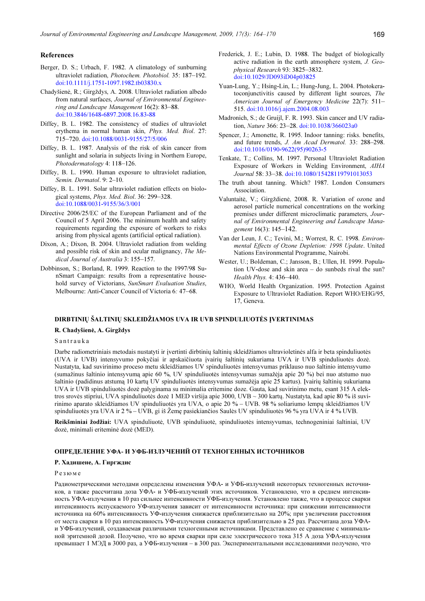#### References

- Berger, D. S.; Urbach, F. 1982. A climatology of sunburning ultraviolet radiation, Photochem. Photobiol. 35: 187–192. doi:10.1111/j.1751-1097.1982.tb03830.x
- Chadyšienė, R.; Girgždys, A. 2008. Ultraviolet radiation albedo from natural surfaces, Journal of Environmental Engineering and Landscape Management 16(2): 83–88. doi:10.3846/1648-6897.2008.16.83-88
- Diffey, B. L. 1982. The consistency of studies of ultraviolet erythema in normal human skin, Phys. Med. Biol. 27: 715–720. doi:10.1088/0031-9155/27/5/006
- Diffey, B. L. 1987. Analysis of the risk of skin cancer from sunlight and solaria in subjects living in Northern Europe, Photodermatology 4: 118–126.
- Diffey, B. L. 1990. Human exposure to ultraviolet radiation, Semin. Dermatol. 9: 2–10.
- Diffey, B. L. 1991. Solar ultraviolet radiation effects on biological systems, Phys. Med. Biol. 36: 299–328. doi:10.1088/0031-9155/36/3/001
- Directive 2006/25/EC of the European Parliament and of the Council of 5 April 2006. The minimum health and safety requirements regarding the exposure of workers to risks arising from physical agents (artificial optical radiation).
- Dixon, A.; Dixon, B. 2004. Ultraviolet radiation from welding and possible risk of skin and ocular malignancy, The Medical Journal of Australia 3: 155–157.
- Dobbinson, S.; Borland, R. 1999. Reaction to the 1997/98 SunSmart Campaign: results from a representative household survey of Victorians, SunSmart Evaluation Studies, Melbourne: Anti-Cancer Council of Victoria 6: 47–68.
- Frederick, J. E.; Lubin, D. 1988. The budget of biologically active radiation in the earth atmosphere system, J. Geophysical Research 93: 3825–3832. doi:10.1029/JD093iD04p03825
- Yuan-Lung, Y.; Hsing-Lin, L.; Hung-Jung, L. 2004. Photokeratoconjunctivitis caused by different light sources, The American Journal of Emergency Medicine 22(7): 511– 515. doi:10.1016/j.ajem.2004.08.003
- Madronich, S.; de Gruijl, F. R. 1993. Skin cancer and UV radiation, Nature 366: 23–28. doi:10.1038/366023a0
- Spencer, J.; Amonette, R. 1995. Indoor tanning: risks. benefits, and future trends, J. Am Acad Dermatol. 33: 288–298. doi:10.1016/0190-9622(95)90263-5
- Tenkate, T.; Collins, M. 1997. Personal Ultraviolet Radiation Exposure of Workers in Welding Environment, AIHA Journal 58: 33–38. doi:10.1080/15428119791013053
- The truth about tanning. Which? 1987. London Consumers Association.
- Valuntaitė, V.; Girgždienė, 2008. R. Variation of ozone and aerosol particle numerical concentrations on the working premises under different microclimatic parameters, Journal of Environmental Engineering and Landscape Management 16(3): 145–142.
- Van der Leun, J. C.; Tevini, M.; Worrest, R. C. 1998. Environmental Effects of Ozone Depletion: 1998 Update. United Nations Environmental Programme, Nairobi.
- Wester, U.; Boldeman, C.; Jansson, B.; Ullen, H. 1999. Population UV-dose and skin area – do sunbeds rival the sun? Health Phys. 4: 436–440.
- WHO, World Health Organization. 1995. Protection Against Exposure to Ultraviolet Radiation. Report WHO/EHG/95, 17, Geneva.

## DIRBTINIŲ ŠALTINIŲ SKLEIDŽIAMOS UVA IR UVB SPINDULIUOTĖS ĮVERTINIMAS

#### R. Chadyšienė, A. Girgždys

## S a n t r a u k a

Darbe radiometriniais metodais nustatyti ir įvertinti dirbtinių šaltinių skleidžiamos ultravioletinės alfa ir beta spinduliuotės (UVA ir UVB) intensyvumo pokyčiai ir apskaičiuota įvairių šaltinių sukuriama UVA ir UVB spinduliuotės dozė. Nustatyta, kad suvirinimo proceso metu skleidžiamos UV spinduliuotės intensyvumas priklauso nuo šaltinio intensyvumo (sumažinus šaltinio intensyvumą apie 60 %, UV spinduliuotės intensyvumas sumažėja apie 20 %) bei nuo atstumo nuo šaltinio (padidinus atstumą 10 kartų UV spinduliuotės intensyvumas sumažėja apie 25 kartus). Įvairių šaltinių sukuriama UVA ir UVB spinduliuotės dozė palyginama su minimalia eritemine doze. Gauta, kad suvirinimo metu, esant 315 A elektros srovės stipriui, UVA spinduliuotės dozė 1 MED viršija apie 3000, UVB ~ 300 kartų. Nustatyta, kad apie 80 % iš suvirinimo aparato skleidžiamos UV spinduliuotės yra UVA, o apie 20 % – UVB. 98 % soliariumo lempų skleidžiamos UV spinduliuotės yra UVA ir 2 % – UVB, gi iš Žemę pasiekiančios Saulės UV spinduliuotės 96 % yra UVA ir 4 % UVB.

Reikšminiai žodžiai: UVA spinduliuotė, UVB spinduliuotė, spinduliuotės intensyvumas, technogeniniai šaltiniai, UV dozė, minimali eriteminė dozė (MED).

## ОПРЕДЕЛЕНИЕ УФА- И УФБ-ИЗЛУЧЕНИЙ ОТ ТЕХНОГЕННЫХ ИСТОЧНИКОВ

#### Р. Хадишене, А. Гиргждис

#### Р е з ю м е

Радиометрическими методами определены изменения УФА- и УФБ-излучений некоторых техногенных источников, а также рассчитана доза УФА- и УФБ-излучений этих источников. Установлено, что в среднем интенсивность УФА-излучения в 10 раз сильнее интенсивности УФБ-излучения. Установлено также, что в процессе сварки интенсивность испускаемого УФ-излучения зависит от интенсивности источника: при снижении интенсивности источника на 60% интенсивность УФ-излучения снижается приблизительно на 20%; при увеличении расстояния от места сварки в 10 раз интенсивность УФ-излучения снижается приблизительно в 25 раз. Рассчитана доза УФАи УФБ-излучений, создаваемая различными техногенными источниками. Представлено ее сравнение с минимальной эритемной дозой. Получено, что во время сварки при силе электрического тока 315 А доза УФА-излучения превышает 1 МЭД в 3000 раз, а УФБ-излучения – в 300 раз. Экспериментальными исследованиями получено, что